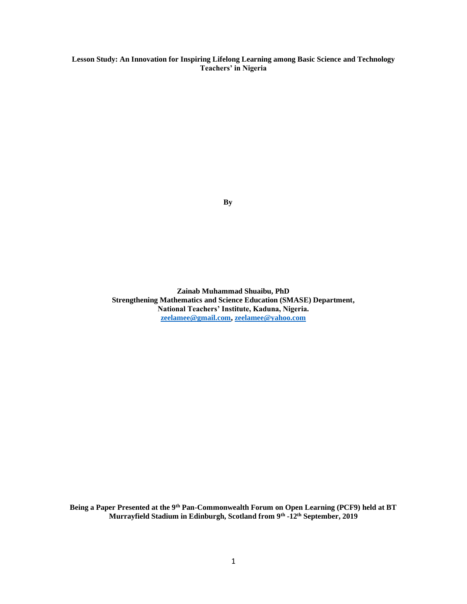**Lesson Study: An Innovation for Inspiring Lifelong Learning among Basic Science and Technology Teachers' in Nigeria**

 **By**

**Zainab Muhammad Shuaibu, PhD Strengthening Mathematics and Science Education (SMASE) Department, National Teachers' Institute, Kaduna, Nigeria. [zeelamee@gmail.com,](mailto:zeelamee@gmail.com) [zeelamee@yahoo.com](mailto:zeelamee@yahoo.com)**

**Being a Paper Presented at the 9th Pan-Commonwealth Forum on Open Learning (PCF9) held at BT Murrayfield Stadium in Edinburgh, Scotland from 9th -12th September, 2019**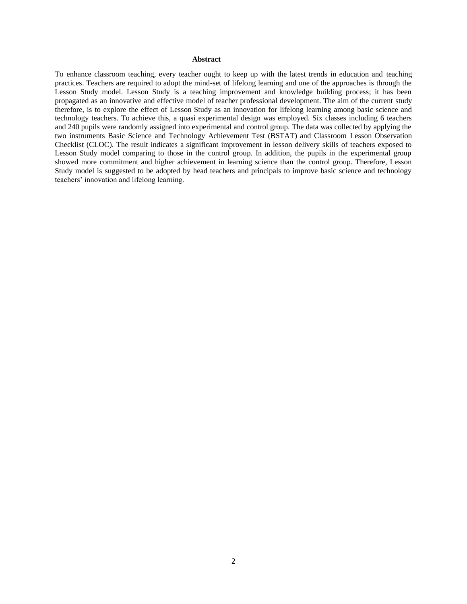### **Abstract**

To enhance classroom teaching, every teacher ought to keep up with the latest trends in education and teaching practices. Teachers are required to adopt the mind-set of lifelong learning and one of the approaches is through the Lesson Study model. Lesson Study is a teaching improvement and knowledge building process; it has been propagated as an innovative and effective model of teacher professional development. The aim of the current study therefore, is to explore the effect of Lesson Study as an innovation for lifelong learning among basic science and technology teachers. To achieve this, a quasi experimental design was employed. Six classes including 6 teachers and 240 pupils were randomly assigned into experimental and control group. The data was collected by applying the two instruments Basic Science and Technology Achievement Test (BSTAT) and Classroom Lesson Observation Checklist (CLOC). The result indicates a significant improvement in lesson delivery skills of teachers exposed to Lesson Study model comparing to those in the control group. In addition, the pupils in the experimental group showed more commitment and higher achievement in learning science than the control group. Therefore, Lesson Study model is suggested to be adopted by head teachers and principals to improve basic science and technology teachers' innovation and lifelong learning.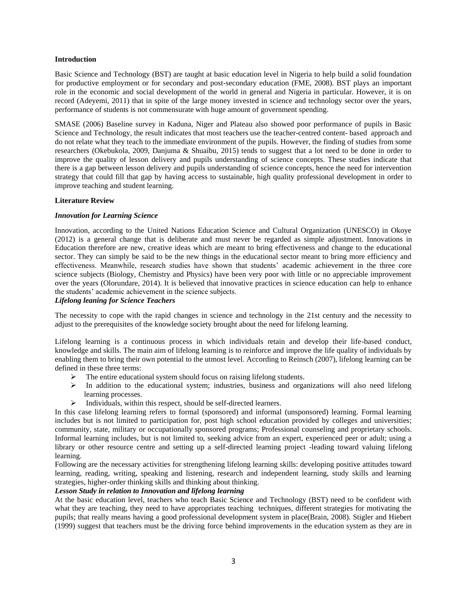### **Introduction**

Basic Science and Technology (BST) are taught at basic education level in Nigeria to help build a solid foundation for productive employment or for secondary and post-secondary education (FME, 2008). BST plays an important role in the economic and social development of the world in general and Nigeria in particular. However, it is on record (Adeyemi, 2011) that in spite of the large money invested in science and technology sector over the years, performance of students is not commensurate with huge amount of government spending.

SMASE (2006) Baseline survey in Kaduna, Niger and Plateau also showed poor performance of pupils in Basic Science and Technology, the result indicates that most teachers use the teacher-centred content- based approach and do not relate what they teach to the immediate environment of the pupils. However, the finding of studies from some researchers (Okebukola, 2009, Danjuma & Shuaibu, 2015) tends to suggest that a lot need to be done in order to improve the quality of lesson delivery and pupils understanding of science concepts. These studies indicate that there is a gap between lesson delivery and pupils understanding of science concepts, hence the need for intervention strategy that could fill that gap by having access to sustainable, high quality professional development in order to improve teaching and student learning.

### **Literature Review**

### *Innovation for Learning Science*

Innovation, according to the United Nations Education Science and Cultural Organization (UNESCO) in Okoye (2012) is a general change that is deliberate and must never be regarded as simple adjustment. Innovations in Education therefore are new, creative ideas which are meant to bring effectiveness and change to the educational sector. They can simply be said to be the new things in the educational sector meant to bring more efficiency and effectiveness. Meanwhile, research studies have shown that students' academic achievement in the three core science subjects (Biology, Chemistry and Physics) have been very poor with little or no appreciable improvement over the years (Olorundare, 2014). It is believed that innovative practices in science education can help to enhance the students' academic achievement in the science subjects.

### *Lifelong leaning for Science Teachers*

The necessity to cope with the rapid changes in science and technology in the 21st century and the necessity to adjust to the prerequisites of the knowledge society brought about the need for lifelong learning.

Lifelong learning is a continuous process in which individuals retain and develop their life-based conduct, knowledge and skills. The main aim of lifelong learning is to reinforce and improve the life quality of individuals by enabling them to bring their own potential to the utmost level. According to Reinsch (2007), lifelong learning can be defined in these three terms:

- ➢ The entire educational system should focus on raising lifelong students.
- $\triangleright$  In addition to the educational system; industries, business and organizations will also need lifelong learning processes.
- ➢ Individuals, within this respect, should be self-directed learners.

In this case lifelong learning refers to formal (sponsored) and informal (unsponsored) learning. Formal learning includes but is not limited to participation for, post high school education provided by colleges and universities; community, state, military or occupationally sponsored programs; Professional counseling and proprietary schools. Informal learning includes, but is not limited to, seeking advice from an expert, experienced peer or adult; using a library or other resource centre and setting up a self-directed learning project -leading toward valuing lifelong learning.

Following are the necessary activities for strengthening lifelong learning skills: developing positive attitudes toward learning, reading, writing, speaking and listening, research and independent learning, study skills and learning strategies, higher-order thinking skills and thinking about thinking.

# *Lesson Study in relation to Innovation and lifelong learning*

At the basic education level, teachers who teach Basic Science and Technology (BST) need to be confident with what they are teaching, they need to have appropriates teaching techniques, different strategies for motivating the pupils; that really means having a good professional development system in place(Brain, 2008). Stigler and Hiebert (1999) suggest that teachers must be the driving force behind improvements in the education system as they are in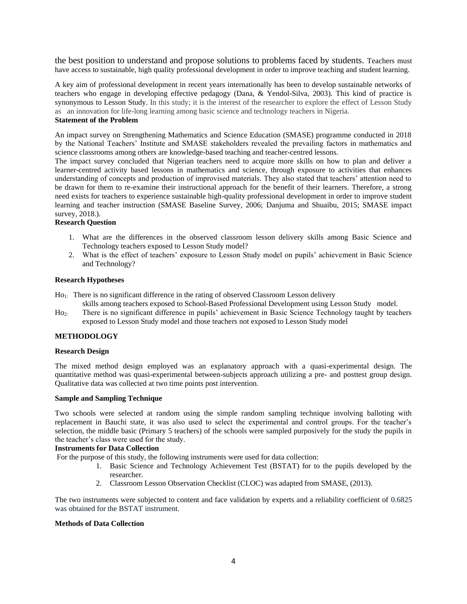the best position to understand and propose solutions to problems faced by students. Teachers must have access to sustainable, high quality professional development in order to improve teaching and student learning.

A key aim of professional development in recent years internationally has been to develop sustainable networks of teachers who engage in developing effective pedagogy (Dana, & Yendol-Silva, 2003). This kind of practice is synonymous to Lesson Study. In this study; it is the interest of the researcher to explore the effect of Lesson Study as an innovation for life-long learning among basic science and technology teachers in Nigeria.

### **Statement of the Problem**

An impact survey on Strengthening Mathematics and Science Education (SMASE) programme conducted in 2018 by the National Teachers' Institute and SMASE stakeholders revealed the prevailing factors in mathematics and science classrooms among others are knowledge-based teaching and teacher-centred lessons.

The impact survey concluded that Nigerian teachers need to acquire more skills on how to plan and deliver a learner-centred activity based lessons in mathematics and science, through exposure to activities that enhances understanding of concepts and production of improvised materials. They also stated that teachers' attention need to be drawn for them to re-examine their instructional approach for the benefit of their learners. Therefore, a strong need exists for teachers to experience sustainable high-quality professional development in order to improve student learning and teacher instruction (SMASE Baseline Survey, 2006; Danjuma and Shuaibu, 2015; SMASE impact survey, 2018.).

### **Research Question**

- 1. What are the differences in the observed classroom lesson delivery skills among Basic Science and Technology teachers exposed to Lesson Study model?
- 2. What is the effect of teachers' exposure to Lesson Study model on pupils' achievement in Basic Science and Technology?

#### **Research Hypotheses**

Ho1: There is no significant difference in the rating of observed Classroom Lesson delivery

- skills among teachers exposed to School-Based Professional Development using Lesson Study model.
- Ho2: There is no significant difference in pupils' achievement in Basic Science Technology taught by teachers exposed to Lesson Study model and those teachers not exposed to Lesson Study model

### **METHODOLOGY**

#### **Research Design**

The mixed method design employed was an explanatory approach with a quasi-experimental design. The quantitative method was quasi-experimental between-subjects approach utilizing a pre- and posttest group design. Qualitative data was collected at two time points post intervention.

### **Sample and Sampling Technique**

Two schools were selected at random using the simple random sampling technique involving balloting with replacement in Bauchi state, it was also used to select the experimental and control groups. For the teacher's selection, the middle basic (Primary 5 teachers) of the schools were sampled purposively for the study the pupils in the teacher's class were used for the study.

#### **Instruments for Data Collection**

For the purpose of this study, the following instruments were used for data collection:

- 1. Basic Science and Technology Achievement Test (BSTAT) for to the pupils developed by the researcher.
- 2. Classroom Lesson Observation Checklist (CLOC) was adapted from SMASE, (2013).

The two instruments were subjected to content and face validation by experts and a reliability coefficient of 0.6825 was obtained for the BSTAT instrument.

#### **Methods of Data Collection**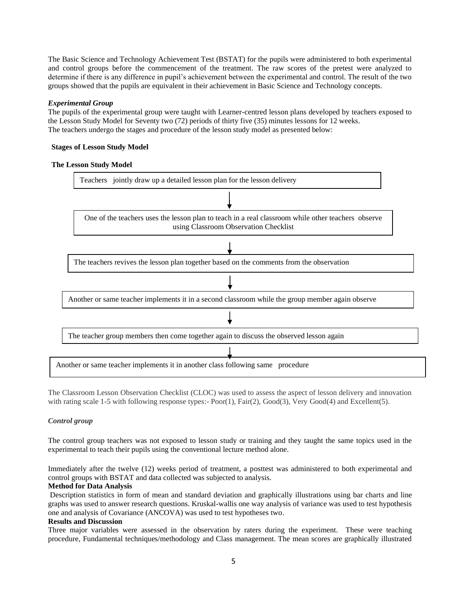The Basic Science and Technology Achievement Test (BSTAT) for the pupils were administered to both experimental and control groups before the commencement of the treatment. The raw scores of the pretest were analyzed to determine if there is any difference in pupil's achievement between the experimental and control. The result of the two groups showed that the pupils are equivalent in their achievement in Basic Science and Technology concepts.

## *Experimental Group*

The pupils of the experimental group were taught with Learner-centred lesson plans developed by teachers exposed to the Lesson Study Model for Seventy two (72) periods of thirty five (35) minutes lessons for 12 weeks. The teachers undergo the stages and procedure of the lesson study model as presented below:

## **Stages of Lesson Study Model**

### **The Lesson Study Model**



The Classroom Lesson Observation Checklist (CLOC) was used to assess the aspect of lesson delivery and innovation with rating scale 1-5 with following response types:- Poor(1), Fair(2), Good(3), Very Good(4) and Excellent(5).

## *Control group*

The control group teachers was not exposed to lesson study or training and they taught the same topics used in the experimental to teach their pupils using the conventional lecture method alone.

Immediately after the twelve (12) weeks period of treatment, a posttest was administered to both experimental and control groups with BSTAT and data collected was subjected to analysis.

### **Method for Data Analysis**

Description statistics in form of mean and standard deviation and graphically illustrations using bar charts and line graphs was used to answer research questions. Kruskal-wallis one way analysis of variance was used to test hypothesis one and analysis of Covariance (ANCOVA) was used to test hypotheses two.

### **Results and Discussion**

Three major variables were assessed in the observation by raters during the experiment. These were teaching procedure, Fundamental techniques/methodology and Class management. The mean scores are graphically illustrated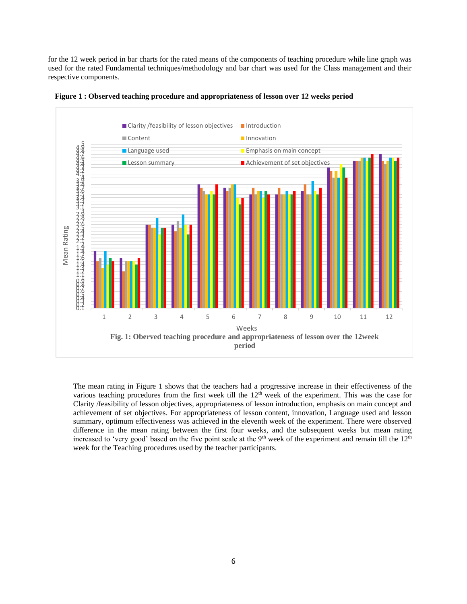for the 12 week period in bar charts for the rated means of the components of teaching procedure while line graph was used for the rated Fundamental techniques/methodology and bar chart was used for the Class management and their respective components.





The mean rating in Figure 1 shows that the teachers had a progressive increase in their effectiveness of the various teaching procedures from the first week till the  $12<sup>th</sup>$  week of the experiment. This was the case for Clarity /feasibility of lesson objectives, appropriateness of lesson introduction, emphasis on main concept and achievement of set objectives. For appropriateness of lesson content, innovation, Language used and lesson summary, optimum effectiveness was achieved in the eleventh week of the experiment. There were observed difference in the mean rating between the first four weeks, and the subsequent weeks but mean rating increased to 'very good' based on the five point scale at the 9<sup>th</sup> week of the experiment and remain till the  $12<sup>th</sup>$ week for the Teaching procedures used by the teacher participants.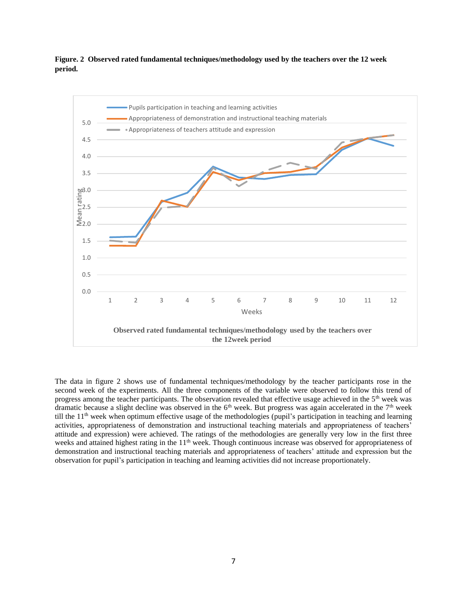# **Figure. 2 Observed rated fundamental techniques/methodology used by the teachers over the 12 week period.**



The data in figure 2 shows use of fundamental techniques/methodology by the teacher participants rose in the second week of the experiments. All the three components of the variable were observed to follow this trend of progress among the teacher participants. The observation revealed that effective usage achieved in the 5<sup>th</sup> week was dramatic because a slight decline was observed in the  $6<sup>th</sup>$  week. But progress was again accelerated in the  $7<sup>th</sup>$  week till the  $11<sup>th</sup>$  week when optimum effective usage of the methodologies (pupil's participation in teaching and learning activities, appropriateness of demonstration and instructional teaching materials and appropriateness of teachers' attitude and expression) were achieved. The ratings of the methodologies are generally very low in the first three weeks and attained highest rating in the 11<sup>th</sup> week. Though continuous increase was observed for appropriateness of demonstration and instructional teaching materials and appropriateness of teachers' attitude and expression but the observation for pupil's participation in teaching and learning activities did not increase proportionately.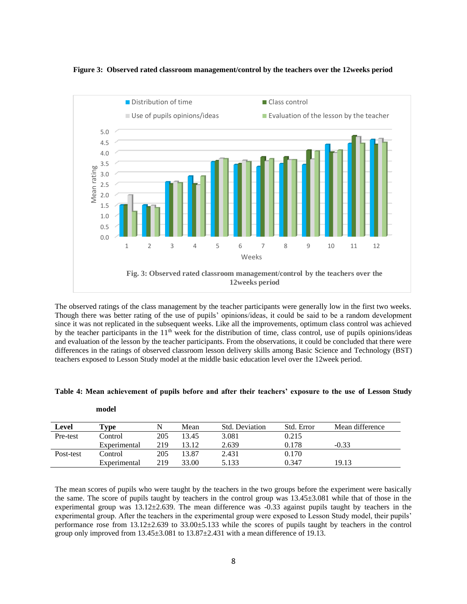



The observed ratings of the class management by the teacher participants were generally low in the first two weeks. Though there was better rating of the use of pupils' opinions/ideas, it could be said to be a random development since it was not replicated in the subsequent weeks. Like all the improvements, optimum class control was achieved by the teacher participants in the 11<sup>th</sup> week for the distribution of time, class control, use of pupils opinions/ideas and evaluation of the lesson by the teacher participants. From the observations, it could be concluded that there were differences in the ratings of observed classroom lesson delivery skills among Basic Science and Technology (BST) teachers exposed to Lesson Study model at the middle basic education level over the 12week period.

| Level     | $r_{\bm{v}\bm{p}\bm{e}}$ |     | Mean  | <b>Std. Deviation</b> | Std. Error | Mean difference |
|-----------|--------------------------|-----|-------|-----------------------|------------|-----------------|
| Pre-test  | Control                  | 205 | 13.45 | 3.081                 | 0.215      |                 |
|           | Experimental             | 219 | 13.12 | 2.639                 | 0.178      | $-0.33$         |
| Post-test | Control                  | 205 | 13.87 | 2.431                 | 0.170      |                 |
|           | Experimental             | 219 | 33.00 | 5.133                 | 0.347      | 19.13           |

| Table 4: Mean achievement of pupils before and after their teachers' exposure to the use of Lesson Study |
|----------------------------------------------------------------------------------------------------------|
|----------------------------------------------------------------------------------------------------------|

The mean scores of pupils who were taught by the teachers in the two groups before the experiment were basically the same. The score of pupils taught by teachers in the control group was 13.45±3.081 while that of those in the experimental group was  $13.12 \pm 2.639$ . The mean difference was  $-0.33$  against pupils taught by teachers in the experimental group. After the teachers in the experimental group were exposed to Lesson Study model, their pupils' performance rose from 13.12±2.639 to 33.00±5.133 while the scores of pupils taught by teachers in the control group only improved from  $13.45\pm3.081$  to  $13.87\pm2.431$  with a mean difference of 19.13.

#### **model**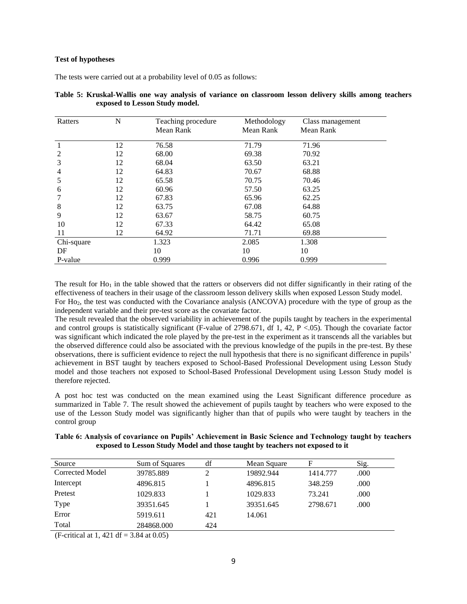### **Test of hypotheses**

The tests were carried out at a probability level of 0.05 as follows:

| Ratters        | N  | Teaching procedure | Methodology | Class management |
|----------------|----|--------------------|-------------|------------------|
|                |    | Mean Rank          | Mean Rank   | Mean Rank        |
|                | 12 | 76.58              | 71.79       | 71.96            |
| 2              | 12 | 68.00              | 69.38       | 70.92            |
| 3              | 12 | 68.04              | 63.50       | 63.21            |
| $\overline{4}$ | 12 | 64.83              | 70.67       | 68.88            |
| 5              | 12 | 65.58              | 70.75       | 70.46            |
| 6              | 12 | 60.96              | 57.50       | 63.25            |
|                | 12 | 67.83              | 65.96       | 62.25            |
| 8              | 12 | 63.75              | 67.08       | 64.88            |
| 9              | 12 | 63.67              | 58.75       | 60.75            |
| 10             | 12 | 67.33              | 64.42       | 65.08            |
| 11             | 12 | 64.92              | 71.71       | 69.88            |
| Chi-square     |    | 1.323              | 2.085       | 1.308            |
| DF             |    | 10                 | 10          | 10               |
| P-value        |    | 0.999              | 0.996       | 0.999            |

| Table 5: Kruskal-Wallis one way analysis of variance on classroom lesson delivery skills among teachers |  |  |  |  |  |  |
|---------------------------------------------------------------------------------------------------------|--|--|--|--|--|--|
| exposed to Lesson Study model.                                                                          |  |  |  |  |  |  |

The result for  $Ho<sub>1</sub>$  in the table showed that the ratters or observers did not differ significantly in their rating of the effectiveness of teachers in their usage of the classroom lesson delivery skills when exposed Lesson Study model. For Ho2, the test was conducted with the Covariance analysis (ANCOVA) procedure with the type of group as the independent variable and their pre-test score as the covariate factor.

The result revealed that the observed variability in achievement of the pupils taught by teachers in the experimental and control groups is statistically significant (F-value of 2798.671, df 1, 42, P <.05). Though the covariate factor was significant which indicated the role played by the pre-test in the experiment as it transcends all the variables but the observed difference could also be associated with the previous knowledge of the pupils in the pre-test. By these observations, there is sufficient evidence to reject the null hypothesis that there is no significant difference in pupils' achievement in BST taught by teachers exposed to School-Based Professional Development using Lesson Study model and those teachers not exposed to School-Based Professional Development using Lesson Study model is therefore rejected.

A post hoc test was conducted on the mean examined using the Least Significant difference procedure as summarized in Table 7. The result showed the achievement of pupils taught by teachers who were exposed to the use of the Lesson Study model was significantly higher than that of pupils who were taught by teachers in the control group

| Table 6: Analysis of covariance on Pupils' Achievement in Basic Science and Technology taught by teachers |  |
|-----------------------------------------------------------------------------------------------------------|--|
| exposed to Lesson Study Model and those taught by teachers not exposed to it                              |  |

| Source          | Sum of Squares | df  | Mean Square | F        | Sig. |
|-----------------|----------------|-----|-------------|----------|------|
| Corrected Model | 39785.889      | 2   | 19892.944   | 1414.777 | .000 |
| Intercept       | 4896.815       |     | 4896.815    | 348.259  | .000 |
| Pretest         | 1029.833       |     | 1029.833    | 73.241   | .000 |
| Type            | 39351.645      |     | 39351.645   | 2798.671 | .000 |
| Error           | 5919.611       | 421 | 14.061      |          |      |
| Total           | 284868.000     | 424 |             |          |      |

(F-critical at 1, 421 df =  $3.84$  at 0.05)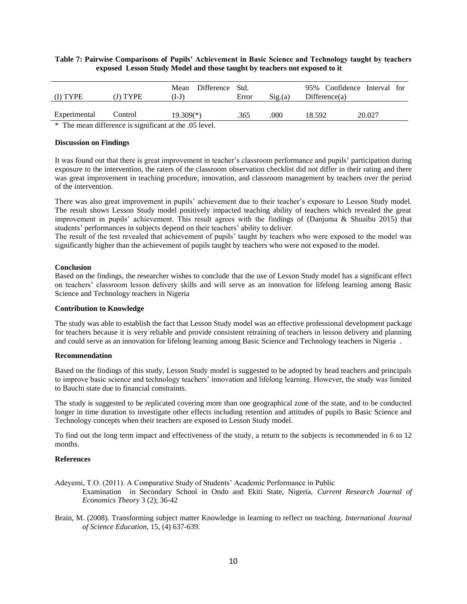## **Table 7: Pairwise Comparisons of Pupils' Achievement in Basic Science and Technology taught by teachers exposed Lesson Study Model and those taught by teachers not exposed to it**

| (I) TYPE     | (J) TYPE | Difference Std.<br>Mean<br>.I-J | Error | Sig(a) | 95% Confidence Interval for<br>Difference(a) |        |  |
|--------------|----------|---------------------------------|-------|--------|----------------------------------------------|--------|--|
| Experimental | Control  | 19.309(*)                       | .365  | 000    | 18.592                                       | 20.027 |  |
| $\cdots$     | $\sim$   | .                               |       |        |                                              |        |  |

\* The mean difference is significant at the .05 level.

### **Discussion on Findings**

It was found out that there is great improvement in teacher's classroom performance and pupils' participation during exposure to the intervention, the raters of the classroom observation checklist did not differ in their rating and there was great improvement in teaching procedure, innovation, and classroom management by teachers over the period of the intervention.

There was also great improvement in pupils' achievement due to their teacher's exposure to Lesson Study model. The result shows Lesson Study model positively impacted teaching ability of teachers which revealed the great improvement in pupils' achievement. This result agrees with the findings of (Danjuma & Shuaibu 2015) that students' performances in subjects depend on their teachers' ability to deliver.

The result of the test revealed that achievement of pupils' taught by teachers who were exposed to the model was significantly higher than the achievement of pupils taught by teachers who were not exposed to the model.

#### **Conclusion**

Based on the findings, the researcher wishes to conclude that the use of Lesson Study model has a significant effect on teachers' classroom lesson delivery skills and will serve as an innovation for lifelong learning among Basic Science and Technology teachers in Nigeria

### **Contribution to Knowledge**

The study was able to establish the fact that Lesson Study model was an effective professional development package for teachers because it is very reliable and provide consistent retraining of teachers in lesson delivery and planning and could serve as an innovation for lifelong learning among Basic Science and Technology teachers in Nigeria .

### **Recommendation**

Based on the findings of this study, Lesson Study model is suggested to be adopted by head teachers and principals to improve basic science and technology teachers' innovation and lifelong learning. However, the study was limited to Bauchi state due to financial constraints.

The study is suggested to be replicated covering more than one geographical zone of the state, and to be conducted longer in time duration to investigate other effects including retention and attitudes of pupils to Basic Science and Technology concepts when their teachers are exposed to Lesson Study model.

To find out the long term impact and effectiveness of the study, a return to the subjects is recommended in 6 to 12 months.

### **References**

Adeyemi, T.O. (2011). A Comparative Study of Students' Academic Performance in Public

Examination in Secondary School in Ondo and Ekiti State, Nigeria, *Current Research Journal of Economics Theory* 3 (2); 36-42

Brain, M. (2008). Transforming subject matter Knowledge in learning to reflect on teaching. *International Journal of Science Education*, 15, (4) 637-639.